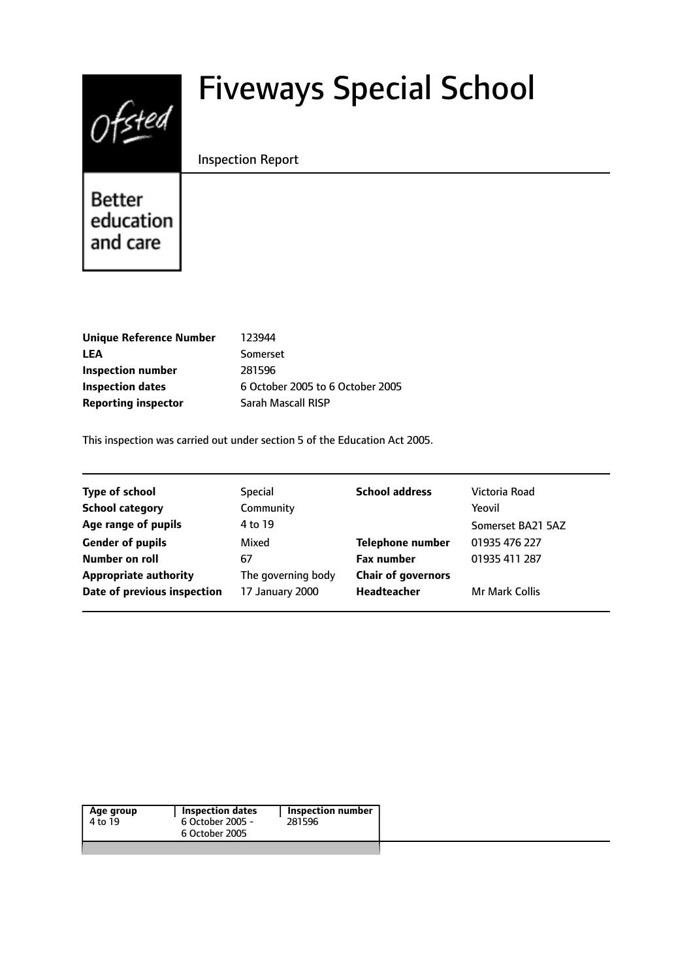# $0$ fsted

# Fiveways Special School

#### Inspection Report

Better education and care

| 123944                           |
|----------------------------------|
| Somerset                         |
| 281596                           |
| 6 October 2005 to 6 October 2005 |
| <b>Sarah Mascall RISP</b>        |
|                                  |

This inspection was carried out under section 5 of the Education Act 2005.

| <b>Type of school</b>        | <b>Special</b>     | <b>School address</b>     | Victoria Road         |
|------------------------------|--------------------|---------------------------|-----------------------|
| <b>School category</b>       | Community          |                           | Yeovil                |
| Age range of pupils          | 4 to 19            |                           | Somerset BA21 5AZ     |
| <b>Gender of pupils</b>      | Mixed              | <b>Telephone number</b>   | 01935 476 227         |
| Number on roll               | 67                 | <b>Fax number</b>         | 01935 411 287         |
| <b>Appropriate authority</b> | The governing body | <b>Chair of governors</b> |                       |
| Date of previous inspection  | 17 January 2000    | Headteacher               | <b>Mr Mark Collis</b> |
|                              |                    |                           |                       |

| Age group<br>4 to 19 | <b>Inspection dates</b><br>6 October 2005 -<br>6 October 2005 | <b>Inspection number</b><br>281596 |  |
|----------------------|---------------------------------------------------------------|------------------------------------|--|
|                      |                                                               |                                    |  |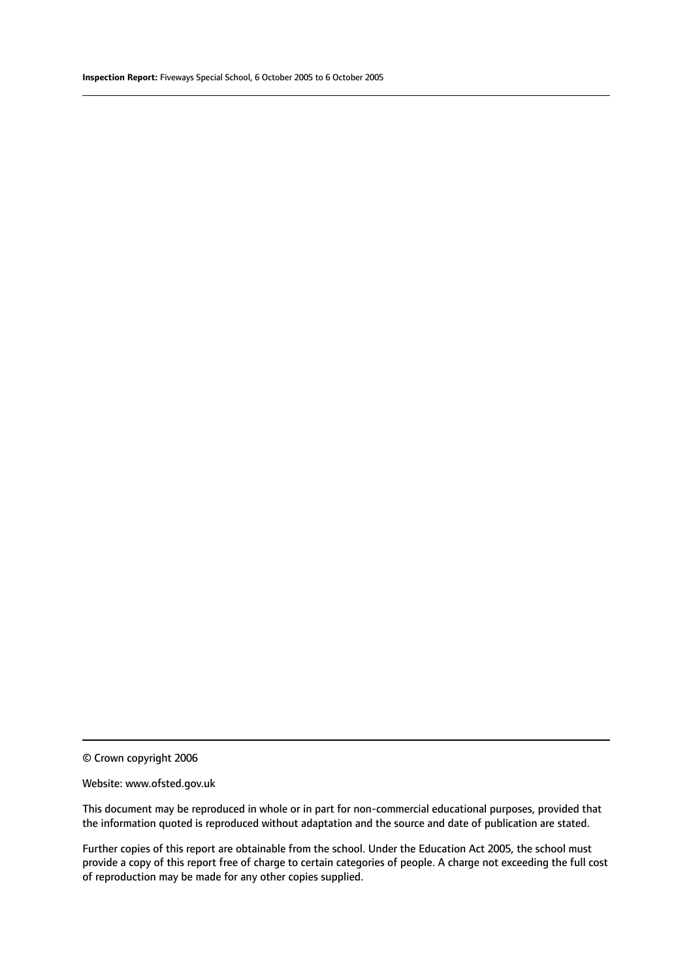© Crown copyright 2006

#### Website: www.ofsted.gov.uk

This document may be reproduced in whole or in part for non-commercial educational purposes, provided that the information quoted is reproduced without adaptation and the source and date of publication are stated.

Further copies of this report are obtainable from the school. Under the Education Act 2005, the school must provide a copy of this report free of charge to certain categories of people. A charge not exceeding the full cost of reproduction may be made for any other copies supplied.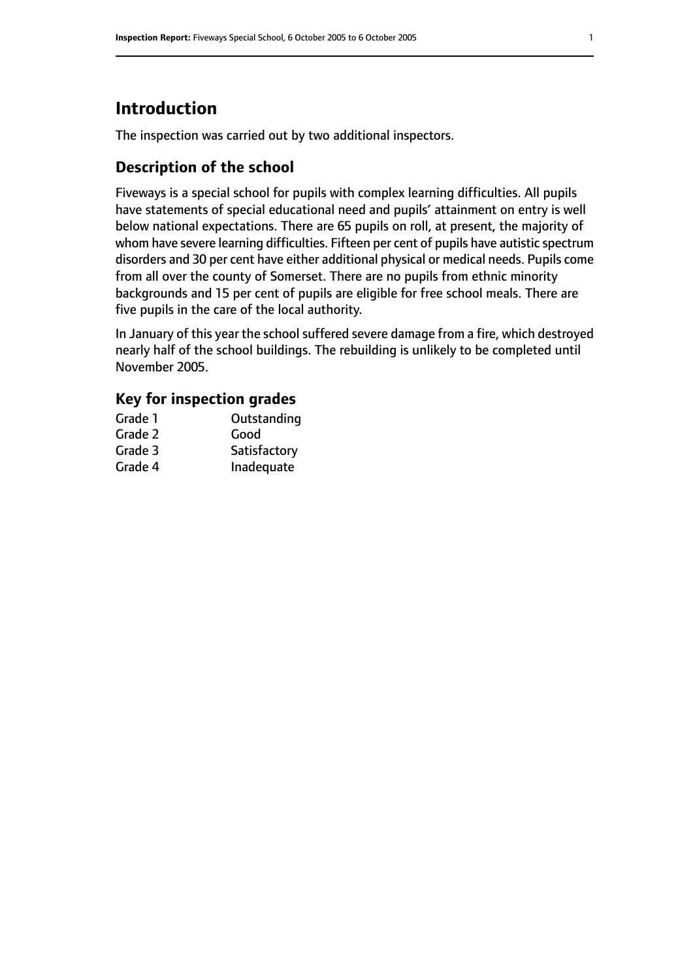# **Introduction**

The inspection was carried out by two additional inspectors.

#### **Description of the school**

Fiveways is a special school for pupils with complex learning difficulties. All pupils have statements of special educational need and pupils' attainment on entry is well below national expectations. There are 65 pupils on roll, at present, the majority of whom have severe learning difficulties. Fifteen per cent of pupils have autistic spectrum disorders and 30 per cent have either additional physical or medical needs. Pupils come from all over the county of Somerset. There are no pupils from ethnic minority backgrounds and 15 per cent of pupils are eligible for free school meals. There are five pupils in the care of the local authority.

In January of this year the school suffered severe damage from a fire, which destroyed nearly half of the school buildings. The rebuilding is unlikely to be completed until November 2005.

#### **Key for inspection grades**

| Grade 1 | Outstanding  |
|---------|--------------|
| Grade 2 | Good         |
| Grade 3 | Satisfactory |
| Grade 4 | Inadequate   |
|         |              |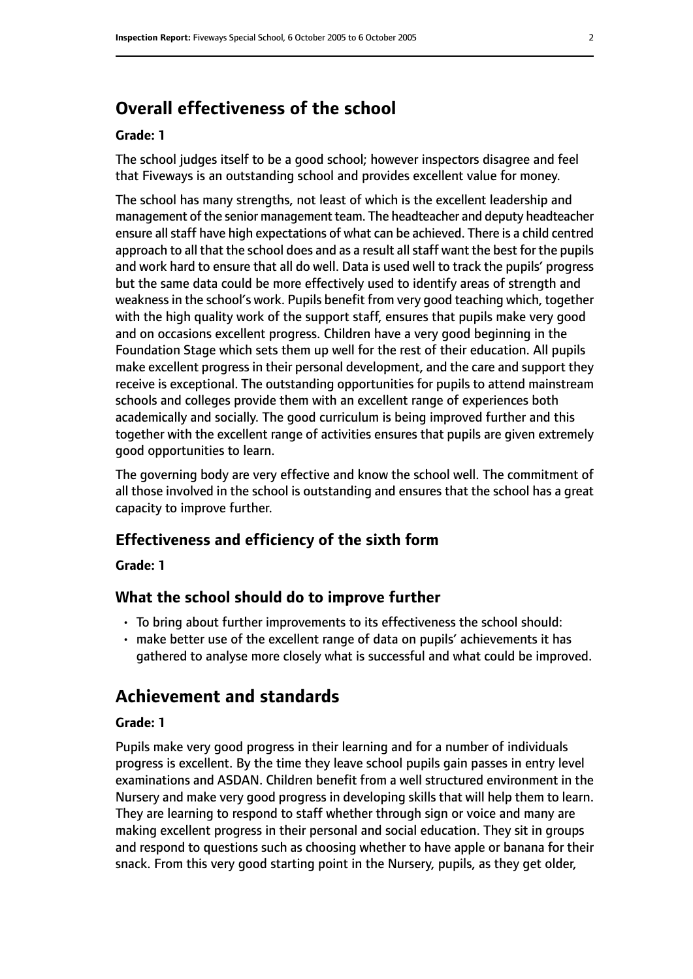# **Overall effectiveness of the school**

#### **Grade: 1**

The school judges itself to be a good school; however inspectors disagree and feel that Fiveways is an outstanding school and provides excellent value for money.

The school has many strengths, not least of which is the excellent leadership and management of the senior management team. The headteacher and deputy headteacher ensure all staff have high expectations of what can be achieved. There is a child centred approach to all that the school does and as a result all staff want the best for the pupils and work hard to ensure that all do well. Data is used well to track the pupils' progress but the same data could be more effectively used to identify areas of strength and weakness in the school's work. Pupils benefit from very good teaching which, together with the high quality work of the support staff, ensures that pupils make very good and on occasions excellent progress. Children have a very good beginning in the Foundation Stage which sets them up well for the rest of their education. All pupils make excellent progress in their personal development, and the care and support they receive is exceptional. The outstanding opportunities for pupils to attend mainstream schools and colleges provide them with an excellent range of experiences both academically and socially. The good curriculum is being improved further and this together with the excellent range of activities ensures that pupils are given extremely good opportunities to learn.

The governing body are very effective and know the school well. The commitment of all those involved in the school is outstanding and ensures that the school has a great capacity to improve further.

#### **Effectiveness and efficiency of the sixth form**

**Grade: 1**

#### **What the school should do to improve further**

- To bring about further improvements to its effectiveness the school should:
- make better use of the excellent range of data on pupils' achievements it has gathered to analyse more closely what is successful and what could be improved.

#### **Achievement and standards**

#### **Grade: 1**

Pupils make very good progress in their learning and for a number of individuals progress is excellent. By the time they leave school pupils gain passes in entry level examinations and ASDAN. Children benefit from a well structured environment in the Nursery and make very good progress in developing skills that will help them to learn. They are learning to respond to staff whether through sign or voice and many are making excellent progress in their personal and social education. They sit in groups and respond to questions such as choosing whether to have apple or banana for their snack. From this very good starting point in the Nursery, pupils, as they get older,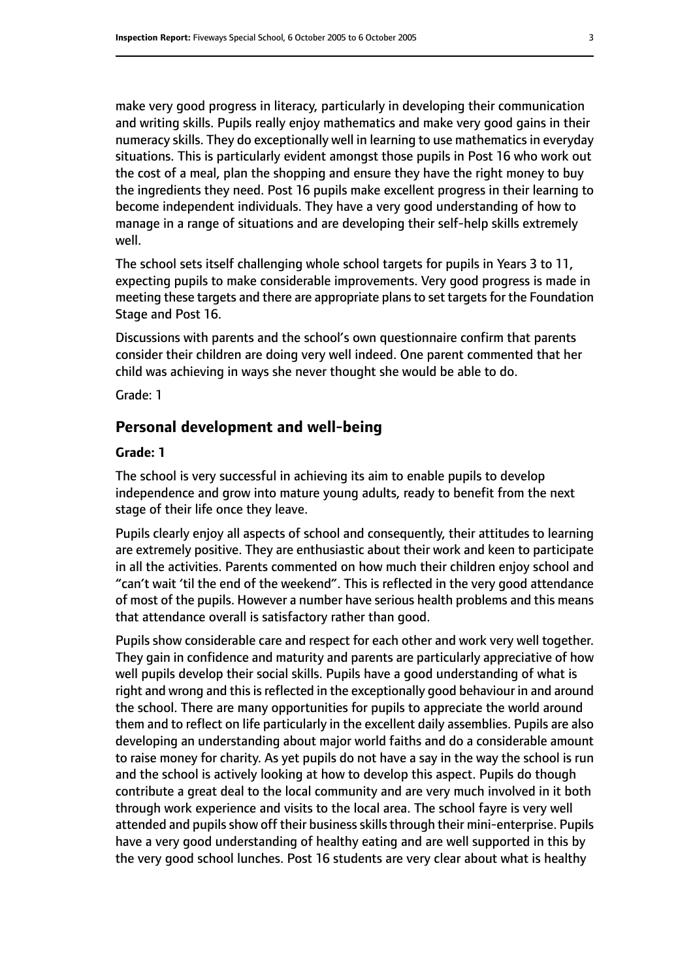make very good progress in literacy, particularly in developing their communication and writing skills. Pupils really enjoy mathematics and make very good gains in their numeracy skills. They do exceptionally well in learning to use mathematics in everyday situations. This is particularly evident amongst those pupils in Post 16 who work out the cost of a meal, plan the shopping and ensure they have the right money to buy the ingredients they need. Post 16 pupils make excellent progress in their learning to become independent individuals. They have a very good understanding of how to manage in a range of situations and are developing their self-help skills extremely well.

The school sets itself challenging whole school targets for pupils in Years 3 to 11, expecting pupils to make considerable improvements. Very good progress is made in meeting these targets and there are appropriate plans to set targets for the Foundation Stage and Post 16.

Discussions with parents and the school's own questionnaire confirm that parents consider their children are doing very well indeed. One parent commented that her child was achieving in ways she never thought she would be able to do.

Grade: 1

#### **Personal development and well-being**

#### **Grade: 1**

The school is very successful in achieving its aim to enable pupils to develop independence and grow into mature young adults, ready to benefit from the next stage of their life once they leave.

Pupils clearly enjoy all aspects of school and consequently, their attitudes to learning are extremely positive. They are enthusiastic about their work and keen to participate in all the activities. Parents commented on how much their children enjoy school and "can't wait 'til the end of the weekend". This is reflected in the very good attendance of most of the pupils. However a number have serious health problems and this means that attendance overall is satisfactory rather than good.

Pupils show considerable care and respect for each other and work very well together. They gain in confidence and maturity and parents are particularly appreciative of how well pupils develop their social skills. Pupils have a good understanding of what is right and wrong and this is reflected in the exceptionally good behaviour in and around the school. There are many opportunities for pupils to appreciate the world around them and to reflect on life particularly in the excellent daily assemblies. Pupils are also developing an understanding about major world faiths and do a considerable amount to raise money for charity. As yet pupils do not have a say in the way the school is run and the school is actively looking at how to develop this aspect. Pupils do though contribute a great deal to the local community and are very much involved in it both through work experience and visits to the local area. The school fayre is very well attended and pupils show off their business skills through their mini-enterprise. Pupils have a very good understanding of healthy eating and are well supported in this by the very good school lunches. Post 16 students are very clear about what is healthy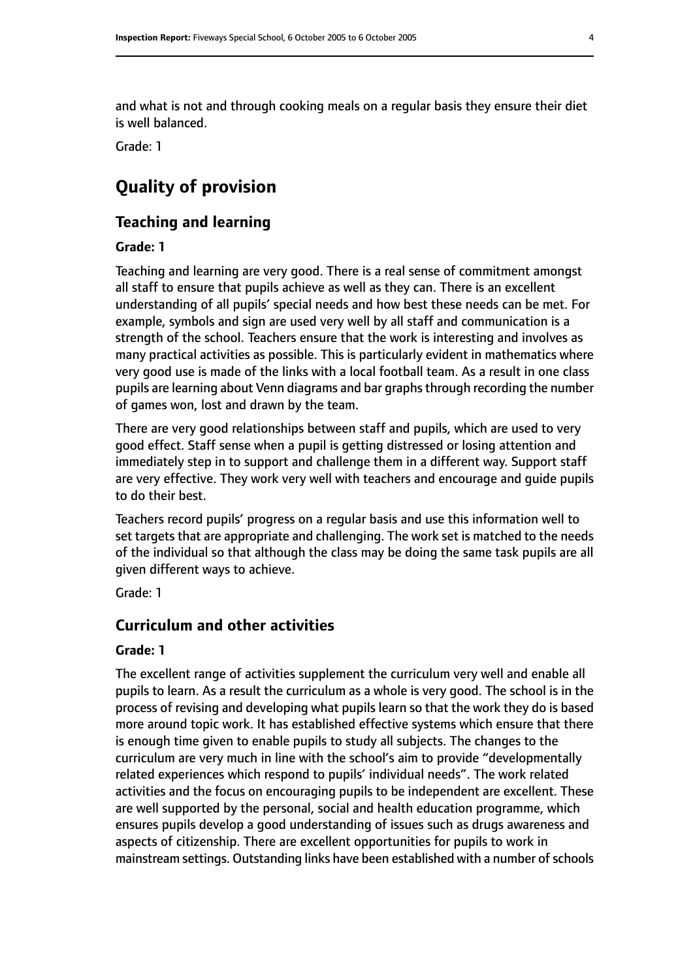and what is not and through cooking meals on a regular basis they ensure their diet is well balanced.

Grade: 1

# **Quality of provision**

#### **Teaching and learning**

#### **Grade: 1**

Teaching and learning are very good. There is a real sense of commitment amongst all staff to ensure that pupils achieve as well as they can. There is an excellent understanding of all pupils' special needs and how best these needs can be met. For example, symbols and sign are used very well by all staff and communication is a strength of the school. Teachers ensure that the work is interesting and involves as many practical activities as possible. This is particularly evident in mathematics where very good use is made of the links with a local football team. As a result in one class pupils are learning about Venn diagrams and bar graphsthrough recording the number of games won, lost and drawn by the team.

There are very good relationships between staff and pupils, which are used to very good effect. Staff sense when a pupil is getting distressed or losing attention and immediately step in to support and challenge them in a different way. Support staff are very effective. They work very well with teachers and encourage and guide pupils to do their best.

Teachers record pupils' progress on a regular basis and use this information well to set targets that are appropriate and challenging. The work set is matched to the needs of the individual so that although the class may be doing the same task pupils are all given different ways to achieve.

Grade: 1

#### **Curriculum and other activities**

#### **Grade: 1**

The excellent range of activities supplement the curriculum very well and enable all pupils to learn. As a result the curriculum as a whole is very good. The school is in the process of revising and developing what pupils learn so that the work they do is based more around topic work. It has established effective systems which ensure that there is enough time given to enable pupils to study all subjects. The changes to the curriculum are very much in line with the school's aim to provide "developmentally related experiences which respond to pupils' individual needs". The work related activities and the focus on encouraging pupils to be independent are excellent. These are well supported by the personal, social and health education programme, which ensures pupils develop a good understanding of issues such as drugs awareness and aspects of citizenship. There are excellent opportunities for pupils to work in mainstream settings. Outstanding links have been established with a number of schools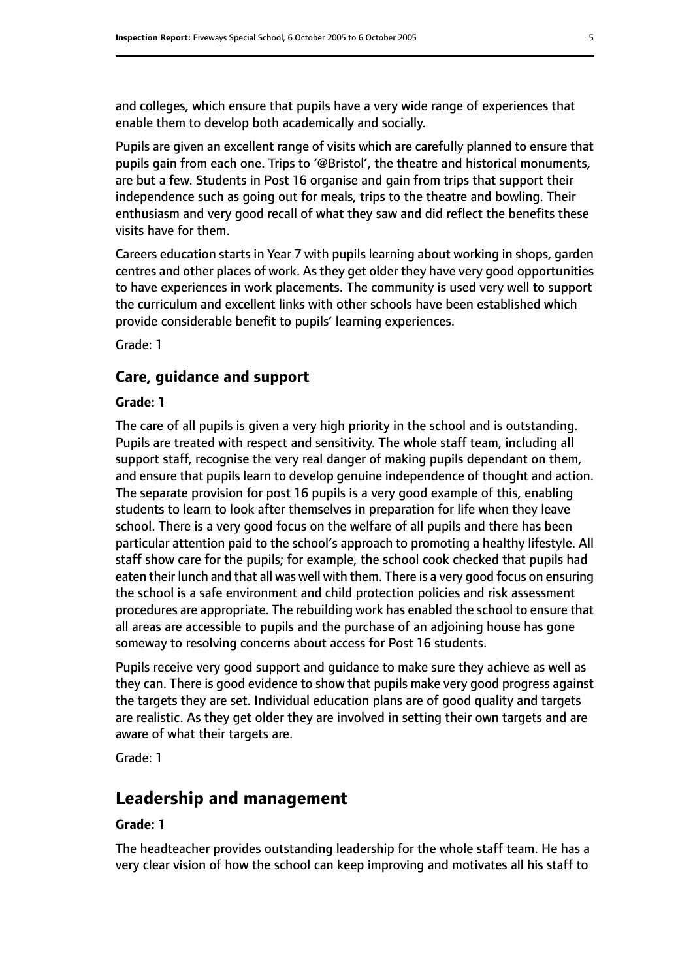and colleges, which ensure that pupils have a very wide range of experiences that enable them to develop both academically and socially.

Pupils are given an excellent range of visits which are carefully planned to ensure that pupils gain from each one. Trips to '@Bristol', the theatre and historical monuments, are but a few. Students in Post 16 organise and gain from trips that support their independence such as going out for meals, trips to the theatre and bowling. Their enthusiasm and very good recall of what they saw and did reflect the benefits these visits have for them.

Careers education starts in Year 7 with pupils learning about working in shops, garden centres and other places of work. As they get older they have very good opportunities to have experiences in work placements. The community is used very well to support the curriculum and excellent links with other schools have been established which provide considerable benefit to pupils' learning experiences.

Grade: 1

#### **Care, guidance and support**

#### **Grade: 1**

The care of all pupils is given a very high priority in the school and is outstanding. Pupils are treated with respect and sensitivity. The whole staff team, including all support staff, recognise the very real danger of making pupils dependant on them, and ensure that pupils learn to develop genuine independence of thought and action. The separate provision for post 16 pupils is a very good example of this, enabling students to learn to look after themselves in preparation for life when they leave school. There is a very good focus on the welfare of all pupils and there has been particular attention paid to the school's approach to promoting a healthy lifestyle. All staff show care for the pupils; for example, the school cook checked that pupils had eaten their lunch and that all was well with them. There is a very good focus on ensuring the school is a safe environment and child protection policies and risk assessment procedures are appropriate. The rebuilding work has enabled the school to ensure that all areas are accessible to pupils and the purchase of an adjoining house has gone someway to resolving concerns about access for Post 16 students.

Pupils receive very good support and guidance to make sure they achieve as well as they can. There is good evidence to show that pupils make very good progress against the targets they are set. Individual education plans are of good quality and targets are realistic. As they get older they are involved in setting their own targets and are aware of what their targets are.

Grade: 1

# **Leadership and management**

#### **Grade: 1**

The headteacher provides outstanding leadership for the whole staff team. He has a very clear vision of how the school can keep improving and motivates all his staff to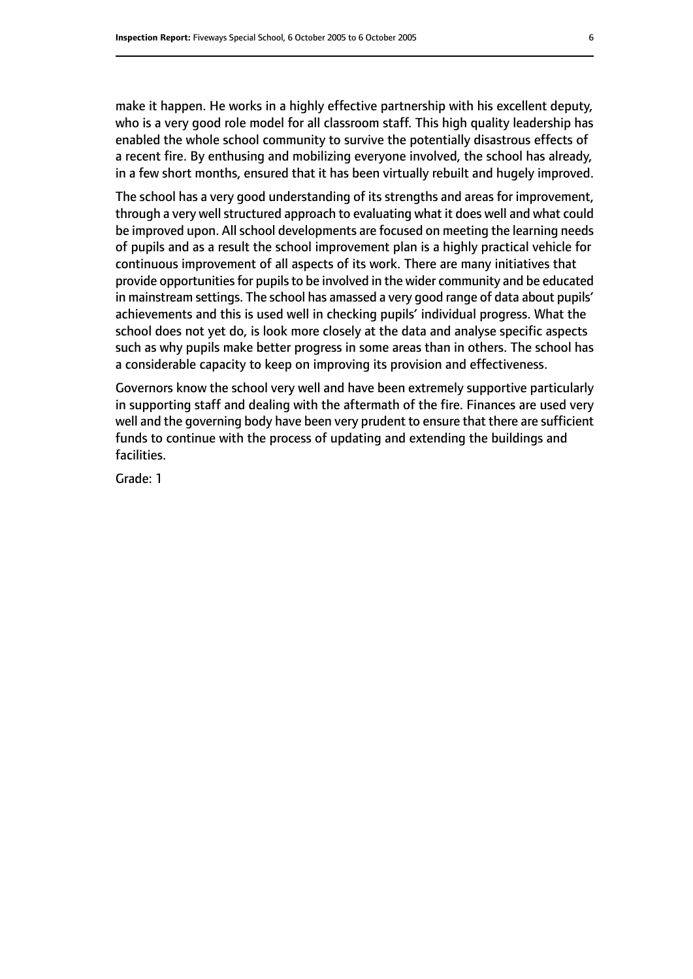make it happen. He works in a highly effective partnership with his excellent deputy, who is a very good role model for all classroom staff. This high quality leadership has enabled the whole school community to survive the potentially disastrous effects of a recent fire. By enthusing and mobilizing everyone involved, the school has already, in a few short months, ensured that it has been virtually rebuilt and hugely improved.

The school has a very good understanding of its strengths and areas for improvement, through a very well structured approach to evaluating what it does well and what could be improved upon. All school developments are focused on meeting the learning needs of pupils and as a result the school improvement plan is a highly practical vehicle for continuous improvement of all aspects of its work. There are many initiatives that provide opportunities for pupils to be involved in the wider community and be educated in mainstream settings. The school has amassed a very good range of data about pupils' achievements and this is used well in checking pupils' individual progress. What the school does not yet do, is look more closely at the data and analyse specific aspects such as why pupils make better progress in some areas than in others. The school has a considerable capacity to keep on improving its provision and effectiveness.

Governors know the school very well and have been extremely supportive particularly in supporting staff and dealing with the aftermath of the fire. Finances are used very well and the governing body have been very prudent to ensure that there are sufficient funds to continue with the process of updating and extending the buildings and facilities.

Grade: 1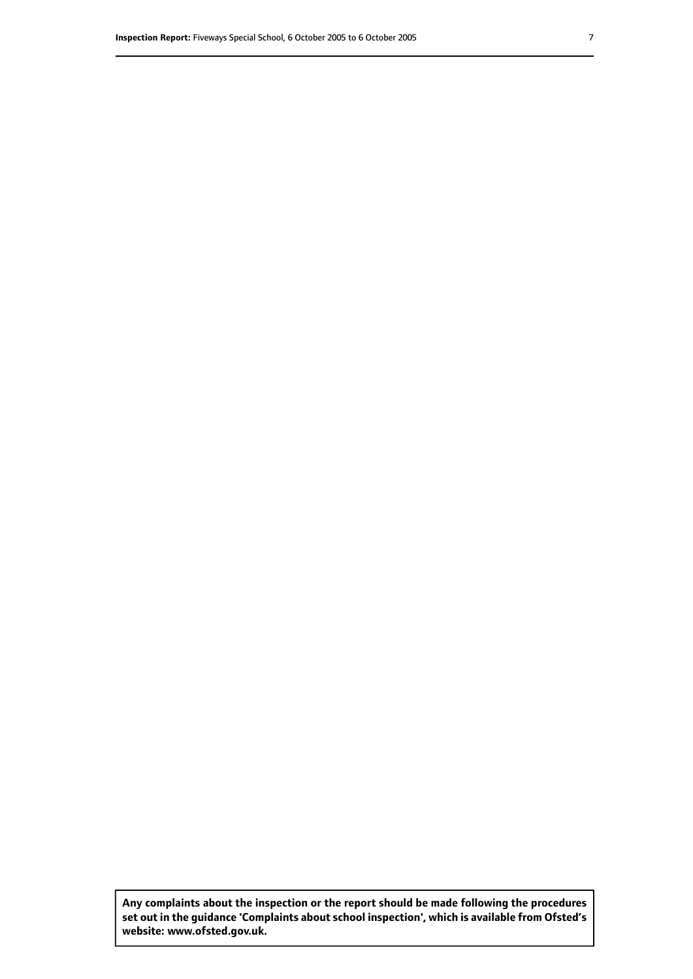**Any complaints about the inspection or the report should be made following the procedures set out inthe guidance 'Complaints about school inspection', whichis available from Ofsted's website: www.ofsted.gov.uk.**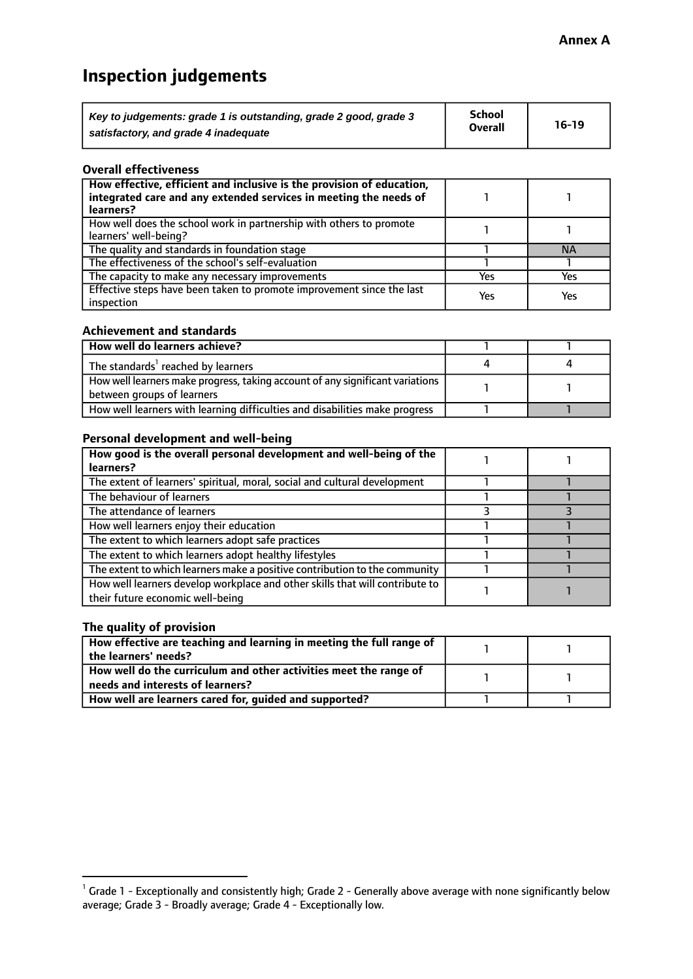# **Inspection judgements**

| Key to judgements: grade 1 is outstanding, grade 2 good, grade 3 | <b>School</b>  | $16-19$ |
|------------------------------------------------------------------|----------------|---------|
| satisfactory, and grade 4 inadequate                             | <b>Overall</b> |         |

#### **Overall effectiveness**

| How effective, efficient and inclusive is the provision of education,<br>integrated care and any extended services in meeting the needs of<br>learners? |     |           |
|---------------------------------------------------------------------------------------------------------------------------------------------------------|-----|-----------|
| How well does the school work in partnership with others to promote<br>learners' well-being?                                                            |     |           |
| The quality and standards in foundation stage                                                                                                           |     | <b>NA</b> |
| The effectiveness of the school's self-evaluation                                                                                                       |     |           |
| The capacity to make any necessary improvements                                                                                                         | Yes | Yes       |
| Effective steps have been taken to promote improvement since the last<br>inspection                                                                     | Yes | Yes       |

#### **Achievement and standards**

| How well do learners achieve?                                                                                 |  |
|---------------------------------------------------------------------------------------------------------------|--|
| The standards <sup>1</sup> reached by learners                                                                |  |
| How well learners make progress, taking account of any significant variations  <br>between groups of learners |  |
| How well learners with learning difficulties and disabilities make progress                                   |  |

#### **Personal development and well-being**

| How good is the overall personal development and well-being of the<br>learners?                                  |  |
|------------------------------------------------------------------------------------------------------------------|--|
| The extent of learners' spiritual, moral, social and cultural development                                        |  |
| The behaviour of learners                                                                                        |  |
| The attendance of learners                                                                                       |  |
| How well learners enjoy their education                                                                          |  |
| The extent to which learners adopt safe practices                                                                |  |
| The extent to which learners adopt healthy lifestyles                                                            |  |
| The extent to which learners make a positive contribution to the community                                       |  |
| How well learners develop workplace and other skills that will contribute to<br>their future economic well-being |  |

#### **The quality of provision**

| How effective are teaching and learning in meeting the full range of |  |
|----------------------------------------------------------------------|--|
| the learners' needs?                                                 |  |
| How well do the curriculum and other activities meet the range of    |  |
| needs and interests of learners?                                     |  |
| How well are learners cared for, guided and supported?               |  |

 $^1$  Grade 1 - Exceptionally and consistently high; Grade 2 - Generally above average with none significantly below average; Grade 3 - Broadly average; Grade 4 - Exceptionally low.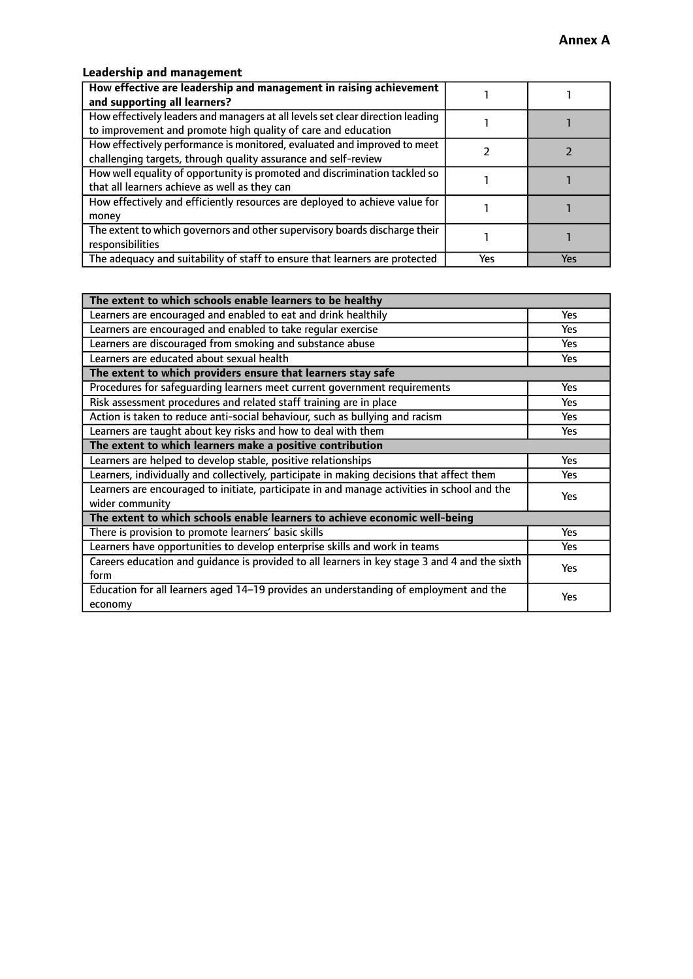#### **Leadership and management**

| How effective are leadership and management in raising achievement<br>and supporting all learners?                                              |     |     |
|-------------------------------------------------------------------------------------------------------------------------------------------------|-----|-----|
| How effectively leaders and managers at all levels set clear direction leading<br>to improvement and promote high quality of care and education |     |     |
| How effectively performance is monitored, evaluated and improved to meet<br>challenging targets, through quality assurance and self-review      |     |     |
| How well equality of opportunity is promoted and discrimination tackled so<br>that all learners achieve as well as they can                     |     |     |
| How effectively and efficiently resources are deployed to achieve value for<br>money                                                            |     |     |
| The extent to which governors and other supervisory boards discharge their<br>responsibilities                                                  |     |     |
| The adequacy and suitability of staff to ensure that learners are protected                                                                     | Yes | Yes |

| The extent to which schools enable learners to be healthy                                     |            |
|-----------------------------------------------------------------------------------------------|------------|
| Learners are encouraged and enabled to eat and drink healthily                                | Yes        |
| Learners are encouraged and enabled to take regular exercise                                  | <b>Yes</b> |
| Learners are discouraged from smoking and substance abuse                                     | Yes        |
| Learners are educated about sexual health                                                     | Yes        |
| The extent to which providers ensure that learners stay safe                                  |            |
| Procedures for safequarding learners meet current government requirements                     | Yes        |
| Risk assessment procedures and related staff training are in place                            | <b>Yes</b> |
| Action is taken to reduce anti-social behaviour, such as bullying and racism                  | Yes        |
| Learners are taught about key risks and how to deal with them                                 | Yes        |
| The extent to which learners make a positive contribution                                     |            |
| Learners are helped to develop stable, positive relationships                                 | <b>Yes</b> |
| Learners, individually and collectively, participate in making decisions that affect them     | <b>Yes</b> |
| Learners are encouraged to initiate, participate in and manage activities in school and the   | Yes        |
| wider community                                                                               |            |
| The extent to which schools enable learners to achieve economic well-being                    |            |
| There is provision to promote learners' basic skills                                          | Yes        |
| Learners have opportunities to develop enterprise skills and work in teams                    | Yes        |
| Careers education and quidance is provided to all learners in key stage 3 and 4 and the sixth | Yes        |
| form                                                                                          |            |
| Education for all learners aged 14-19 provides an understanding of employment and the         | Yes        |
| economy                                                                                       |            |